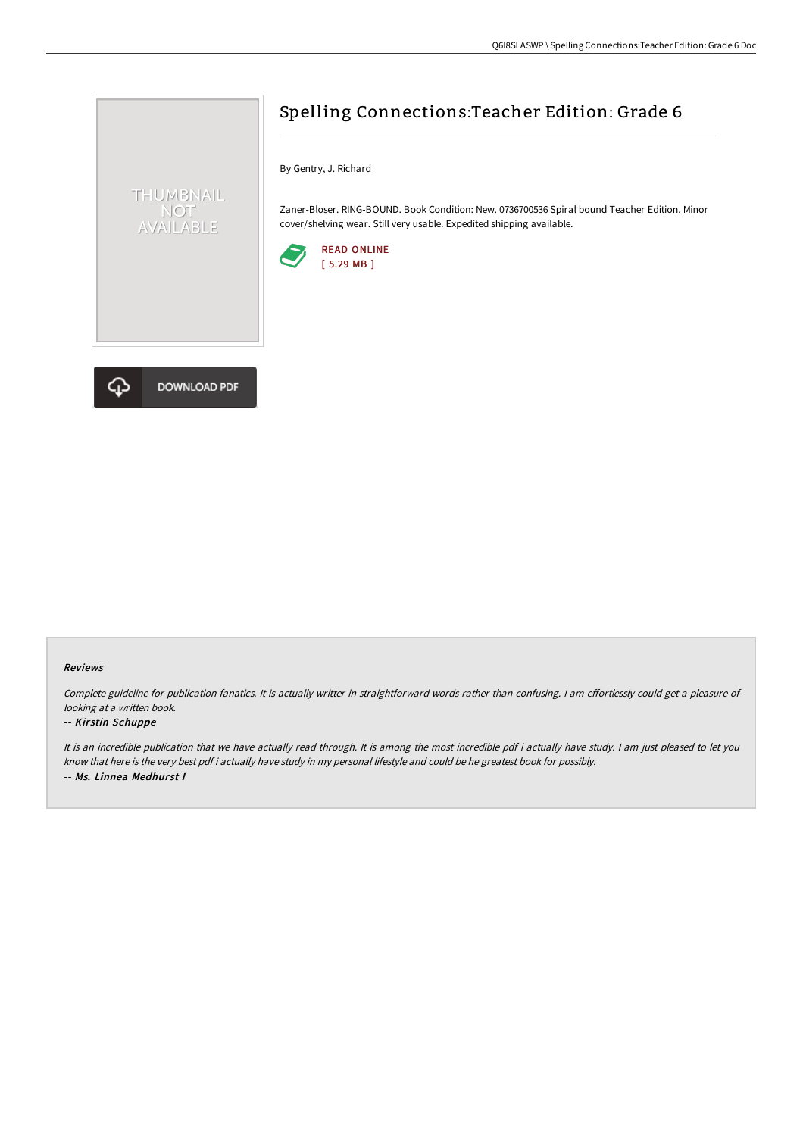

DOWNLOAD PDF

# Spelling Connections:Teacher Edition: Grade 6

By Gentry, J. Richard

Zaner-Bloser. RING-BOUND. Book Condition: New. 0736700536 Spiral bound Teacher Edition. Minor cover/shelving wear. Still very usable. Expedited shipping available.





Complete guideline for publication fanatics. It is actually writter in straightforward words rather than confusing. I am effortlessly could get a pleasure of looking at <sup>a</sup> written book.

#### -- Kirstin Schuppe

It is an incredible publication that we have actually read through. It is among the most incredible pdf i actually have study. <sup>I</sup> am just pleased to let you know that here is the very best pdf i actually have study in my personal lifestyle and could be he greatest book for possibly. -- Ms. Linnea Medhurst I